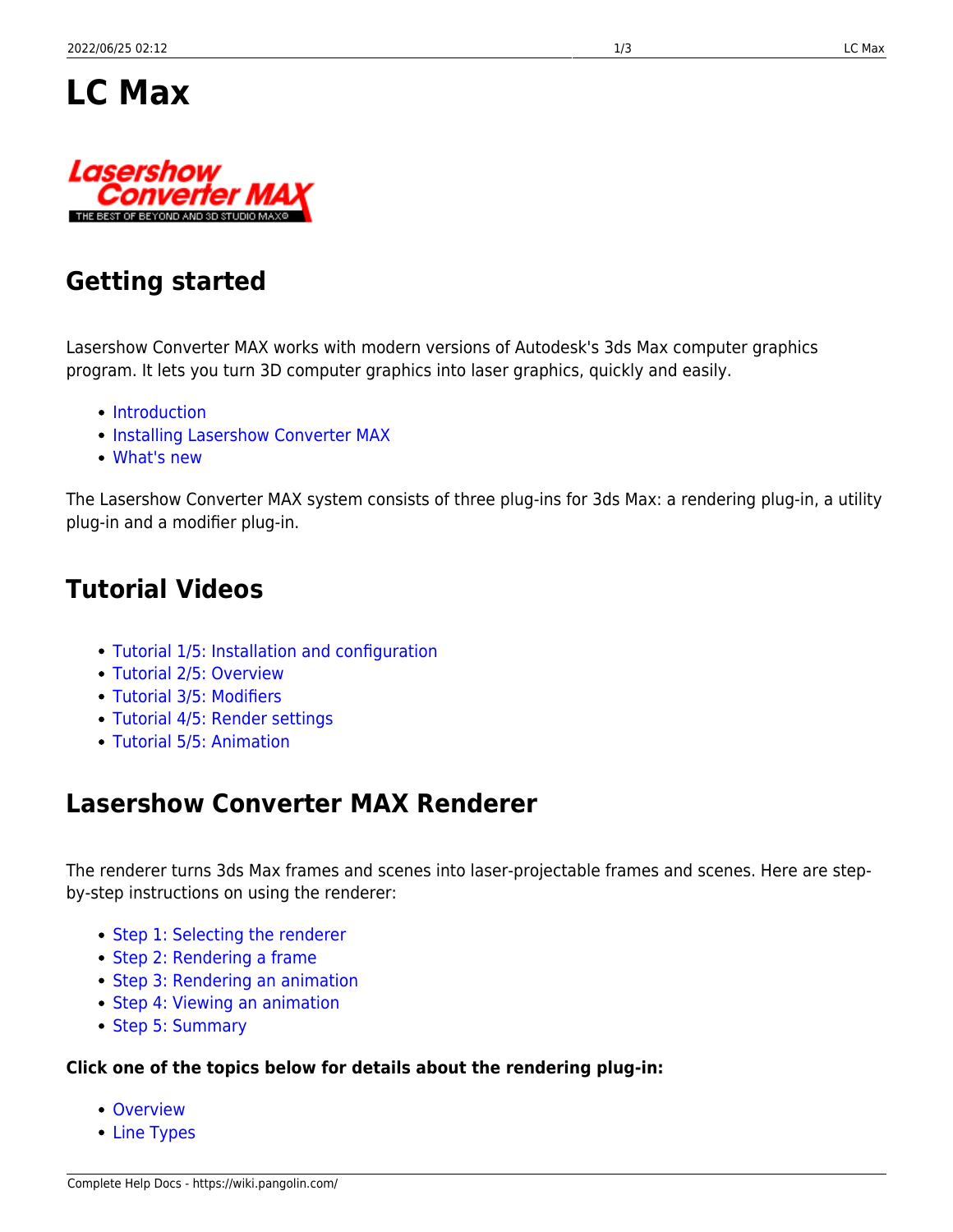



# **Getting started**

Lasershow Converter MAX works with modern versions of Autodesk's 3ds Max computer graphics program. It lets you turn 3D computer graphics into laser graphics, quickly and easily.

- [Introduction](https://wiki.pangolin.com/doku.php?id=tools:lcmax:intro)
- [Installing Lasershow Converter MAX](https://wiki.pangolin.com/doku.php?id=tools:lcmax:instal)
- [What's new](https://wiki.pangolin.com/doku.php?id=tools:lcmax:whats_new)

The Lasershow Converter MAX system consists of three plug-ins for 3ds Max: a rendering plug-in, a utility plug-in and a modifier plug-in.

# **Tutorial Videos**

- [Tutorial 1/5: Installation and configuration](https://wiki.pangolin.com/doku.php?id=tools:lcmax:tutorial_1)
- [Tutorial 2/5: Overview](https://wiki.pangolin.com/doku.php?id=tools:lcmax:tutorial_2)
- [Tutorial 3/5: Modifiers](https://wiki.pangolin.com/doku.php?id=tools:lcmax:tutorial_3)
- [Tutorial 4/5: Render settings](https://wiki.pangolin.com/doku.php?id=tools:lcmax:tutorial_4)
- [Tutorial 5/5: Animation](https://wiki.pangolin.com/doku.php?id=tools:lcmax:tutorial_5)

# **Lasershow Converter MAX Renderer**

The renderer turns 3ds Max frames and scenes into laser-projectable frames and scenes. Here are stepby-step instructions on using the renderer:

- [Step 1: Selecting the renderer](https://wiki.pangolin.com/doku.php?id=tools:lcmax:renderer#step_1selecting_the_renderer)
- [Step 2: Rendering a frame](https://wiki.pangolin.com/doku.php?id=tools:lcmax:renderer#step_2rendering_a_frame)
- [Step 3: Rendering an animation](https://wiki.pangolin.com/doku.php?id=tools:lcmax:renderer#step_3rendering_an_animation)
- [Step 4: Viewing an animation](https://wiki.pangolin.com/doku.php?id=tools:lcmax:renderer#step_4viewing_an_animation_and_sending_it_to_beyond)
- [Step 5: Summary](https://wiki.pangolin.com/doku.php?id=tools:lcmax:renderer#step_5summary)

#### **Click one of the topics below for details about the rendering plug-in:**

- [Overview](https://wiki.pangolin.com/doku.php?id=tools:lcmax:rendering_overview)
- [Line Types](https://wiki.pangolin.com/doku.php?id=tools:lcmax:line_types)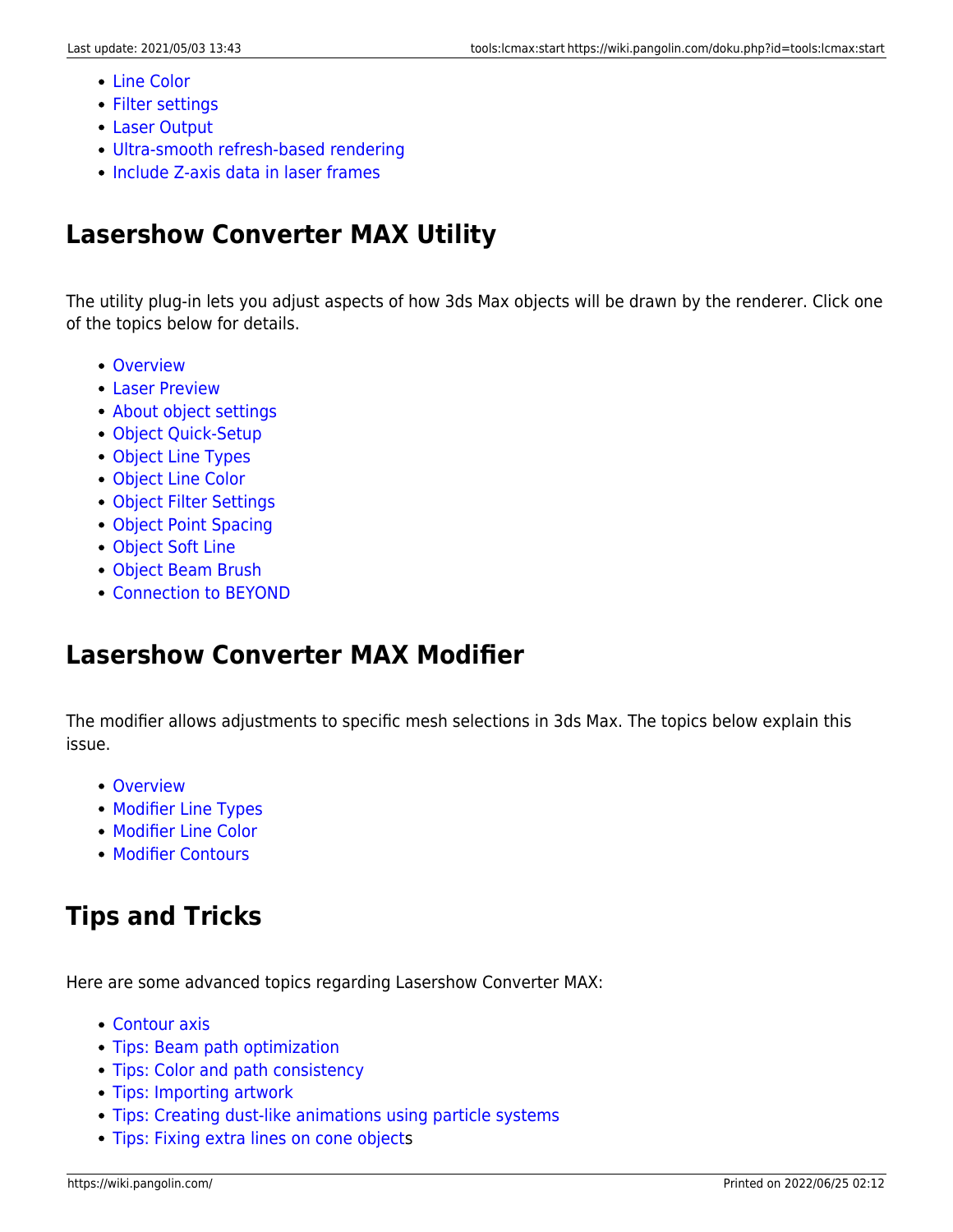- [Line Color](https://wiki.pangolin.com/doku.php?id=tools:lcmax:line_color)
- [Filter settings](https://wiki.pangolin.com/doku.php?id=tools:lcmax:filter_settings)
- [Laser Output](https://wiki.pangolin.com/doku.php?id=tools:lcmax:laser_output)
- [Ultra-smooth refresh-based rendering](https://wiki.pangolin.com/doku.php?id=tools:lcmax:ultra-smooth_refresh-based_rendering)
- [Include Z-axis data in laser frames](https://wiki.pangolin.com/doku.php?id=tools:lcmax:include_z-axis_data_in_laser_frame)

# **Lasershow Converter MAX Utility**

The utility plug-in lets you adjust aspects of how 3ds Max objects will be drawn by the renderer. Click one of the topics below for details.

- [Overview](https://wiki.pangolin.com/doku.php?id=tools:lcmax:utility_overview)
- [Laser Preview](https://wiki.pangolin.com/doku.php?id=tools:lcmax:laser_preview)
- [About object settings](https://wiki.pangolin.com/doku.php?id=tools:lcmax:about_object_settings)
- [Object Quick-Setup](https://wiki.pangolin.com/doku.php?id=tools:lcmax:object_quick-setup)
- [Object Line Types](https://wiki.pangolin.com/doku.php?id=tools:lcmax:object_line_types)
- [Object Line Color](https://wiki.pangolin.com/doku.php?id=tools:lcmax:object_line_color)
- [Object Filter Settings](https://wiki.pangolin.com/doku.php?id=tools:lcmax:object_filter_settings)
- [Object Point Spacing](https://wiki.pangolin.com/doku.php?id=tools:lcmax:object_point_spacing)
- [Object Soft Line](https://wiki.pangolin.com/doku.php?id=tools:lcmax:object_soft_line)
- [Object Beam Brush](https://wiki.pangolin.com/doku.php?id=tools:lcmax:object_beam_brush)
- [Connection to BEYOND](https://wiki.pangolin.com/doku.php?id=tools:lcmax:connection_to_beyond)

# **Lasershow Converter MAX Modifier**

The modifier allows adjustments to specific mesh selections in 3ds Max. The topics below explain this issue.

- [Overview](https://wiki.pangolin.com/doku.php?id=tools:lcmax:modifier_overview)
- [Modifier Line Types](https://wiki.pangolin.com/doku.php?id=tools:lcmax:modifier_line_types)
- [Modifier Line Color](https://wiki.pangolin.com/doku.php?id=tools:lcmax:modifier_line_color)
- [Modifier Contours](https://wiki.pangolin.com/doku.php?id=tools:lcmax:modifier_contours)

# **Tips and Tricks**

Here are some advanced topics regarding Lasershow Converter MAX:

- [Contour axis](https://wiki.pangolin.com/doku.php?id=tools:lcmax:contour_axis)
- [Tips: Beam path optimization](https://wiki.pangolin.com/doku.php?id=tools:lcmax:tips_beam_path_optimization)
- [Tips: Color and path consistency](https://wiki.pangolin.com/doku.php?id=tools:lcmax:tips_color_and_path_consistency)
- [Tips: Importing artwork](https://wiki.pangolin.com/doku.php?id=tools:lcmax:tips_importing_artwork)
- [Tips: Creating dust-like animations using particle systems](https://wiki.pangolin.com/doku.php?id=tools:lcmax:tips_dust_and_particle_animations)
- [Tips: Fixing extra lines on cone object](https://wiki.pangolin.com/doku.php?id=tools:lcmax:fixing_extra_lines_on_cone_objects)s